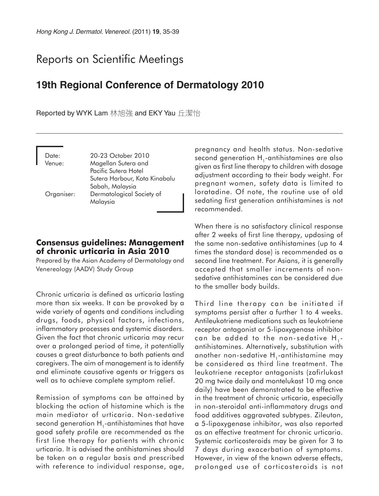# Reports on Scientific Meetings

# **19th Regional Conference of Dermatology 2010**

Reported by WYK Lam 林旭強 and EKY Yau 丘潔怡

Date: 20-23 October 2010 Venue: Magellan Sutera and Pacific Sutera Hotel Sutera Harbour, Kota Kinabalu Sabah, Malaysia Organiser: Dermatological Society of Malaysia

### **Consensus guidelines: Management of chronic urticaria in Asia 2010**

Prepared by the Asian Academy of Dermatology and Venereology (AADV) Study Group

Chronic urticaria is defined as urticaria lasting more than six weeks. It can be provoked by a wide variety of agents and conditions including drugs, foods, physical factors, infections, inflammatory processes and systemic disorders. Given the fact that chronic urticaria may recur over a prolonged period of time, it potentially causes a great disturbance to both patients and caregivers. The aim of management is to identify and eliminate causative agents or triggers as well as to achieve complete symptom relief.

Remission of symptoms can be attained by blocking the action of histamine which is the main mediator of urticaria. Non-sedative second generation  $H_1$ -antihistamines that have good safety profile are recommended as the first line therapy for patients with chronic urticaria. It is advised the antihistamines should be taken on a regular basis and prescribed with reference to individual response, age,

pregnancy and health status. Non-sedative second generation  $H_1$ -antihistamines are also given as first line therapy to children with dosage adjustment according to their body weight. For pregnant women, safety data is limited to loratadine. Of note, the routine use of old sedating first generation antihistamines is not recommended.

When there is no satisfactory clinical response after 2 weeks of first line therapy, updosing of the same non-sedative antihistamines (up to 4 times the standard dose) is recommended as a second line treatment. For Asians, it is generally accepted that smaller increments of nonsedative antihistamines can be considered due to the smaller body builds.

Third line therapy can be initiated if symptoms persist after a further 1 to 4 weeks. Antileukotriene medications such as leukotriene receptor antagonist or 5-lipoxygenase inhibitor can be added to the non-sedative H<sub>1</sub>antihistamines. Alternatively, substitution with another non-sedative  $H_1$ -antihistamine may be considered as third line treatment. The leukotriene receptor antagonists (zafirlukast 20 mg twice daily and montelukast 10 mg once daily) have been demonstrated to be effective in the treatment of chronic urticaria, especially in non-steroidal anti-inflammatory drugs and food additives aggravated subtypes. Zileuton, a 5-lipoxygenase inhibitor, was also reported as an effective treatment for chronic urticaria. Systemic corticosteroids may be given for 3 to 7 days during exacerbation of symptoms. However, in view of the known adverse effects, prolonged use of corticosteroids is not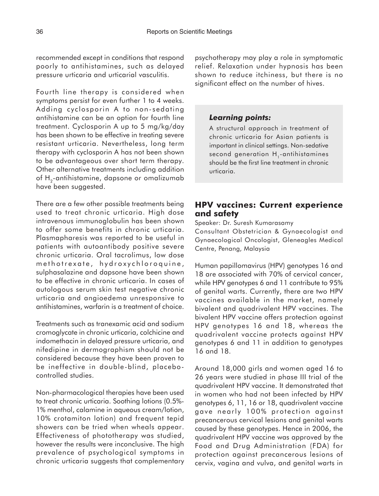recommended except in conditions that respond poorly to antihistamines, such as delayed pressure urticaria and urticarial vasculitis.

Fourth line therapy is considered when symptoms persist for even further 1 to 4 weeks. Adding cyclosporin A to non-sedating antihistamine can be an option for fourth line treatment. Cyclosporin A up to 5 mg/kg/day has been shown to be effective in treating severe resistant urticaria. Nevertheless, long term therapy with cyclosporin A has not been shown to be advantageous over short term therapy. Other alternative treatments including addition of H<sub>2</sub>-antihistamine, dapsone or omalizumab have been suggested.

There are a few other possible treatments being used to treat chronic urticaria. High dose intravenous immunoglobulin has been shown to offer some benefits in chronic urticaria. Plasmapharesis was reported to be useful in patients with autoantibody positive severe chronic urticaria. Oral tacrolimus, low dose methotrexate, hydroxychloroquine, sulphasalazine and dapsone have been shown to be effective in chronic urticaria. In cases of autologous serum skin test negative chronic urticaria and angioedema unresponsive to antihistamines, warfarin is a treatment of choice.

Treatments such as tranexamic acid and sodium cromoglycate in chronic urticaria, colchicine and indomethacin in delayed pressure urticaria, and nifedipine in dermographism should not be considered because they have been proven to be ineffective in double-blind, placebocontrolled studies.

Non-pharmacological therapies have been used to treat chronic urticaria. Soothing lotions (0.5%- 1% menthol, calamine in aqueous cream/lotion, 10% crotamiton lotion) and frequent tepid showers can be tried when wheals appear. Effectiveness of phototherapy was studied, however the results were inconclusive. The high prevalence of psychological symptoms in chronic urticaria suggests that complementary psychotherapy may play a role in symptomatic relief. Relaxation under hypnosis has been shown to reduce itchiness, but there is no significant effect on the number of hives.

#### *Learning points:*

A structural approach in treatment of chronic urticaria for Asian patients is important in clinical settings. Non-sedative second generation H<sub>1</sub>-antihistamines should be the first line treatment in chronic urticaria.

## **HPV vaccines: Current experience and safety**

Speaker: Dr. Suresh Kumarasamy

Consultant Obstetrician & Gynaecologist and Gynaecological Oncologist, Gleneagles Medical Centre, Penang, Malaysia

Human papillomavirus (HPV) genotypes 16 and 18 are associated with 70% of cervical cancer, while HPV genotypes 6 and 11 contribute to 95% of genital warts. Currently, there are two HPV vaccines available in the market, namely bivalent and quadrivalent HPV vaccines. The bivalent HPV vaccine offers protection against HPV genotypes 16 and 18, whereas the quadrivalent vaccine protects against HPV genotypes 6 and 11 in addition to genotypes 16 and 18.

Around 18,000 girls and women aged 16 to 26 years were studied in phase III trial of the quadrivalent HPV vaccine. It demonstrated that in women who had not been infected by HPV genotypes 6, 11, 16 or 18, quadrivalent vaccine gave nearly 100% protection against precancerous cervical lesions and genital warts caused by these genotypes. Hence in 2006, the quadrivalent HPV vaccine was approved by the Food and Drug Administration (FDA) for protection against precancerous lesions of cervix, vagina and vulva, and genital warts in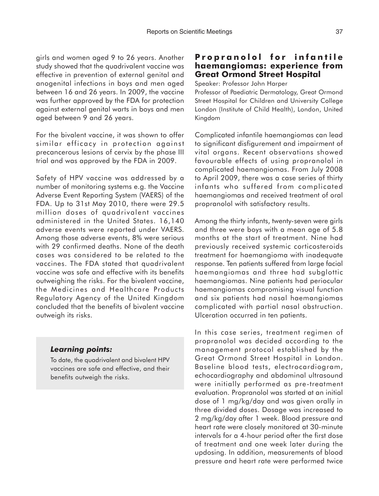girls and women aged 9 to 26 years. Another study showed that the quadrivalent vaccine was effective in prevention of external genital and anogenital infections in boys and men aged between 16 and 26 years. In 2009, the vaccine was further approved by the FDA for protection against external genital warts in boys and men aged between 9 and 26 years.

For the bivalent vaccine, it was shown to offer similar efficacy in protection against precancerous lesions of cervix by the phase III trial and was approved by the FDA in 2009.

Safety of HPV vaccine was addressed by a number of monitoring systems e.g. the Vaccine Adverse Event Reporting System (VAERS) of the FDA. Up to 31st May 2010, there were 29.5 million doses of quadrivalent vaccines administered in the United States. 16,140 adverse events were reported under VAERS. Among those adverse events, 8% were serious with 29 confirmed deaths. None of the death cases was considered to be related to the vaccines. The FDA stated that quadrivalent vaccine was safe and effective with its benefits outweighing the risks. For the bivalent vaccine, the Medicines and Healthcare Products Regulatory Agency of the United Kingdom concluded that the benefits of bivalent vaccine outweigh its risks.

#### *Learning points:*

To date, the quadrivalent and bivalent HPV vaccines are safe and effective, and their benefits outweigh the risks.

### **Propranolol for infantile haemangiomas: experience from Great Ormond Street Hospital**

Speaker: Professor John Harper

Professor of Paediatric Dermatology, Great Ormond Street Hospital for Children and University College London (Institute of Child Health), London, United Kingdom

Complicated infantile haemangiomas can lead to significant disfigurement and impairment of vital organs. Recent observations showed favourable effects of using propranolol in complicated haemangiomas. From July 2008 to April 2009, there was a case series of thirty infants who suffered from complicated haemangiomas and received treatment of oral propranolol with satisfactory results.

Among the thirty infants, twenty-seven were girls and three were boys with a mean age of 5.8 months at the start of treatment. Nine had previously received systemic corticosteroids treatment for haemangioma with inadequate response. Ten patients suffered from large facial haemangiomas and three had subglottic haemangiomas. Nine patients had periocular haemangiomas compromising visual function and six patients had nasal haemangiomas complicated with partial nasal obstruction. Ulceration occurred in ten patients.

In this case series, treatment regimen of propranolol was decided according to the management protocol established by the Great Ormond Street Hospital in London. Baseline blood tests, electrocardiogram, echocardiography and abdominal ultrasound were initially performed as pre-treatment evaluation. Propranolol was started at an initial dose of 1 mg/kg/day and was given orally in three divided doses. Dosage was increased to 2 mg/kg/day after 1 week. Blood pressure and heart rate were closely monitored at 30-minute intervals for a 4-hour period after the first dose of treatment and one week later during the updosing. In addition, measurements of blood pressure and heart rate were performed twice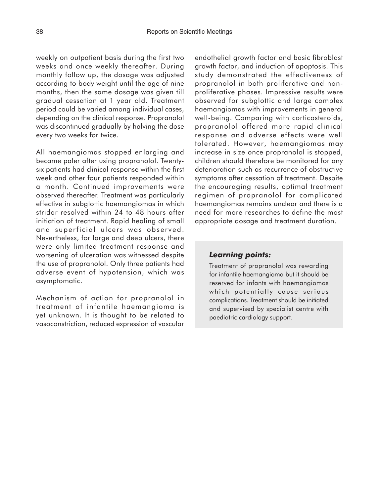weekly on outpatient basis during the first two weeks and once weekly thereafter. During monthly follow up, the dosage was adjusted according to body weight until the age of nine months, then the same dosage was given till gradual cessation at 1 year old. Treatment period could be varied among individual cases, depending on the clinical response. Propranolol was discontinued gradually by halving the dose every two weeks for twice.

All haemangiomas stopped enlarging and became paler after using propranolol. Twentysix patients had clinical response within the first week and other four patients responded within a month. Continued improvements were observed thereafter. Treatment was particularly effective in subglottic haemangiomas in which stridor resolved within 24 to 48 hours after initiation of treatment. Rapid healing of small and superficial ulcers was observed. Nevertheless, for large and deep ulcers, there were only limited treatment response and worsening of ulceration was witnessed despite the use of propranolol. Only three patients had adverse event of hypotension, which was asymptomatic.

Mechanism of action for propranolol in treatment of infantile haemangioma is yet unknown. It is thought to be related to vasoconstriction, reduced expression of vascular endothelial growth factor and basic fibroblast growth factor, and induction of apoptosis. This study demonstrated the effectiveness of propranolol in both proliferative and nonproliferative phases. Impressive results were observed for subglottic and large complex haemangiomas with improvements in general well-being. Comparing with corticosteroids, propranolol offered more rapid clinical response and adverse effects were well tolerated. However, haemangiomas may increase in size once propranolol is stopped, children should therefore be monitored for any deterioration such as recurrence of obstructive symptoms after cessation of treatment. Despite the encouraging results, optimal treatment regimen of propranolol for complicated haemangiomas remains unclear and there is a need for more researches to define the most appropriate dosage and treatment duration.

#### *Learning points:*

Treatment of propranolol was rewarding for infantile haemangioma but it should be reserved for infants with haemangiomas which potentially cause serious complications. Treatment should be initiated and supervised by specialist centre with paediatric cardiology support.